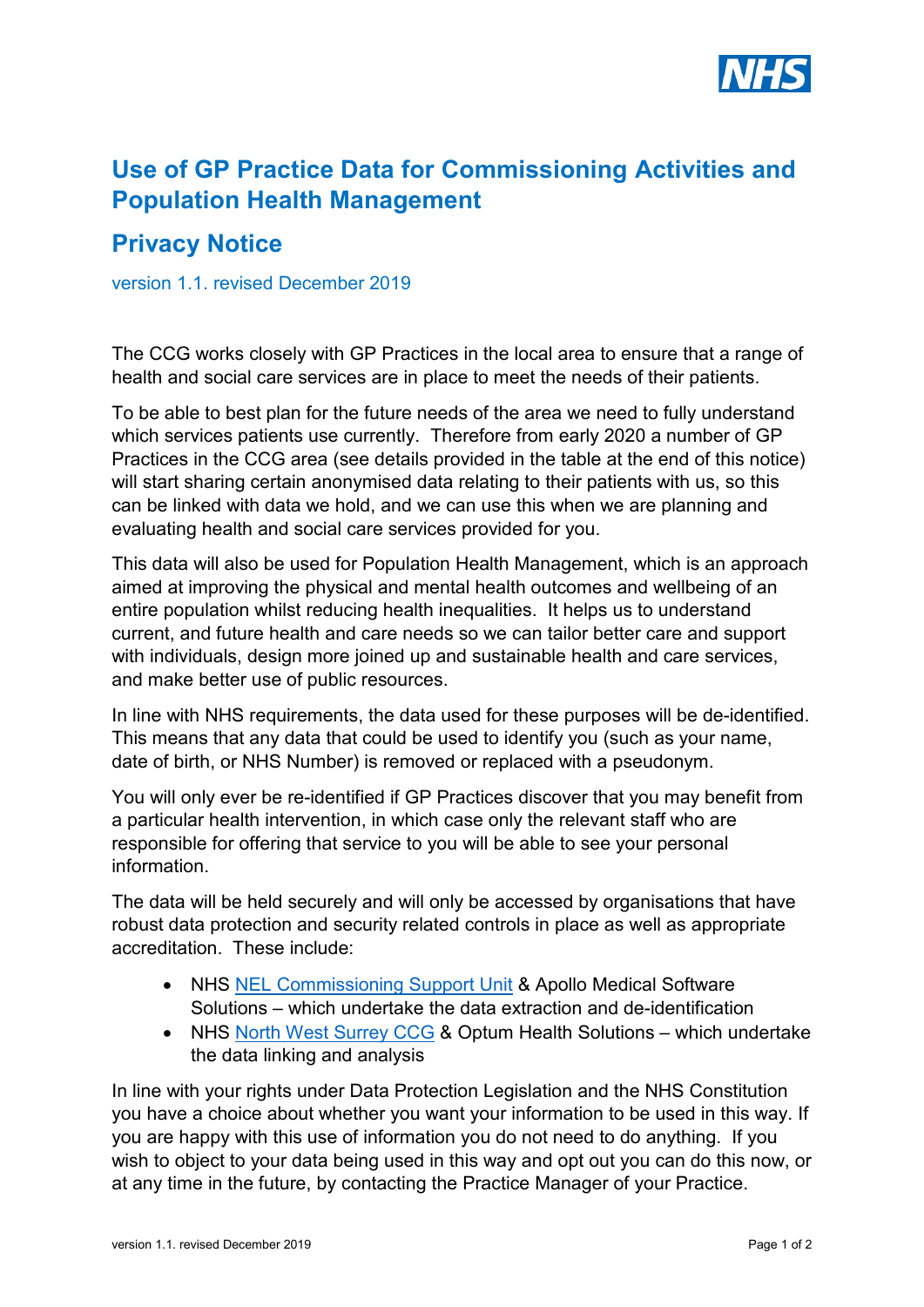

## **Use of GP Practice Data for Commissioning Activities and Population Health Management**

## **Privacy Notice**

version 1.1. revised December 2019

The CCG works closely with GP Practices in the local area to ensure that a range of health and social care services are in place to meet the needs of their patients.

To be able to best plan for the future needs of the area we need to fully understand which services patients use currently. Therefore from early 2020 a number of GP Practices in the CCG area (see details provided in the table at the end of this notice) will start sharing certain anonymised data relating to their patients with us, so this can be linked with data we hold, and we can use this when we are planning and evaluating health and social care services provided for you.

This data will also be used for Population Health Management, which is an approach aimed at improving the physical and mental health outcomes and wellbeing of an entire population whilst reducing health inequalities. It helps us to understand current, and future health and care needs so we can tailor better care and support with individuals, design more joined up and sustainable health and care services, and make better use of public resources.

In line with NHS requirements, the data used for these purposes will be de-identified. This means that any data that could be used to identify you (such as your name, date of birth, or NHS Number) is removed or replaced with a pseudonym.

You will only ever be re-identified if GP Practices discover that you may benefit from a particular health intervention, in which case only the relevant staff who are responsible for offering that service to you will be able to see your personal information.

The data will be held securely and will only be accessed by organisations that have robust data protection and security related controls in place as well as appropriate accreditation. These include:

- NHS [NEL Commissioning Support Unit](http://www.nelcsu.nhs.uk/) & Apollo Medical Software Solutions – which undertake the data extraction and de-identification
- NHS [North West Surrey CCG](https://www.nwsurreyccg.nhs.uk/) & Optum Health Solutions which undertake the data linking and analysis

In line with your rights under Data Protection Legislation and the NHS Constitution you have a choice about whether you want your information to be used in this way. If you are happy with this use of information you do not need to do anything. If you wish to object to your data being used in this way and opt out you can do this now, or at any time in the future, by contacting the Practice Manager of your Practice.